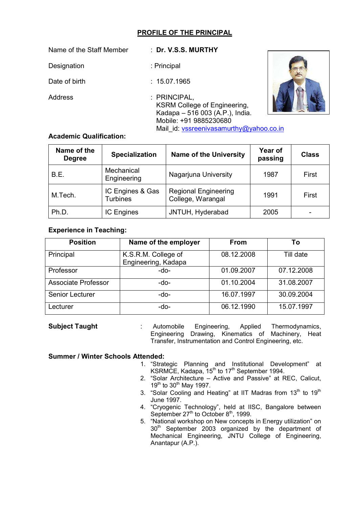# **PROFILE OF THE PRINCIPAL**

| Name of the Staff Member | : Dr. V.S.S. MURTHY                                                                                                                                         |  |
|--------------------------|-------------------------------------------------------------------------------------------------------------------------------------------------------------|--|
| Designation              | : Principal                                                                                                                                                 |  |
| Date of birth            | : 15.07.1965                                                                                                                                                |  |
| Address                  | : PRINCIPAL,<br><b>KSRM College of Engineering,</b><br>Kadapa - 516 003 (A.P.), India.<br>Mobile: +91 9885230680<br>Mail id: vssreenivasamurthy@yahoo.co.in |  |

## **Academic Qualification:**

| Name of the<br><b>Degree</b> | <b>Specialization</b>               | <b>Name of the University</b>                    | Year of<br>passing | <b>Class</b> |
|------------------------------|-------------------------------------|--------------------------------------------------|--------------------|--------------|
| B.E.                         | Mechanical<br>Engineering           | Nagarjuna University                             | 1987               | First        |
| M.Tech.                      | IC Engines & Gas<br><b>Turbines</b> | <b>Regional Engineering</b><br>College, Warangal | 1991               | First        |
| Ph.D.                        | <b>IC Engines</b>                   | JNTUH, Hyderabad                                 | 2005               |              |

### **Experience in Teaching:**

| <b>Position</b>            | Name of the employer                       | <b>From</b> | Τo         |
|----------------------------|--------------------------------------------|-------------|------------|
| Principal                  | K.S.R.M. College of<br>Engineering, Kadapa | 08.12.2008  | Till date  |
| Professor                  | -do-                                       | 01.09.2007  | 07.12.2008 |
| <b>Associate Professor</b> | -do-                                       | 01.10.2004  | 31.08.2007 |
| Senior Lecturer            | -do-                                       | 16.07.1997  | 30.09.2004 |
| Lecturer                   | -do-                                       | 06.12.1990  | 15.07.1997 |

| <b>Subject Taught</b> | Automobile                                              |  |  |  | Engineering, Applied Thermodynamics, |  |
|-----------------------|---------------------------------------------------------|--|--|--|--------------------------------------|--|
|                       | Engineering Drawing, Kinematics of Machinery, Heat      |  |  |  |                                      |  |
|                       | Transfer, Instrumentation and Control Engineering, etc. |  |  |  |                                      |  |

#### **Summer / Winter Schools Attended:**

- 1. "Strategic Planning and Institutional Development" at KSRMCE, Kadapa, 15<sup>th</sup> to 17<sup>th</sup> September 1994.
- 2. "Solar Architecture Active and Passive" at REC, Calicut, 19<sup>th</sup> to 30<sup>th</sup> May 1997.
- 3. "Solar Cooling and Heating" at IIT Madras from  $13<sup>th</sup>$  to  $19<sup>th</sup>$ June 1997.
- 4. "Cryogenic Technology", held at IISC, Bangalore between September 27<sup>th</sup> to October 8<sup>th</sup>, 1999.
- 5. "National workshop on New concepts in Energy utilization" on  $30<sup>th</sup>$  September 2003 organized by the department of Mechanical Engineering, JNTU College of Engineering, Anantapur (A.P.).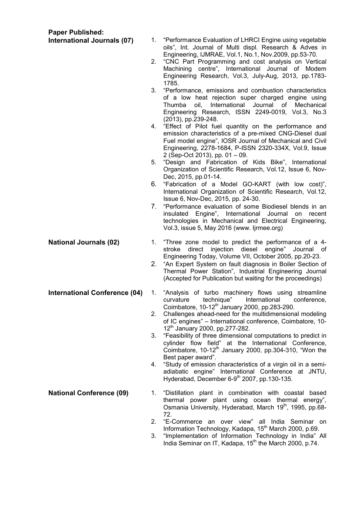**Paper Published:**

- **International Journals (07)** 1. "Performance Evaluation of LHRCI Engine using vegetable oils", Int. Journal of Multi displ. Research & Adves in Engineering, IJMRAE, Vol.1, No.1, Nov.2009, pp.53-70.
	- 2. "CNC Part Programming and cost analysis on Vertical Machining centre", International Journal of Modem Engineering Research, Vol.3, July-Aug, 2013, pp.1783- 1785.
	- 3. "Performance, emissions and combustion characteristics of a low heat rejection super charged engine using Thumba oil, International Journal of Mechanical Engineering Research, ISSN 2249-0019, Vol.3, No.3 (2013), pp.239-248.
	- 4. "Effect of Pilot fuel quantity on the performance and emission characteristics of a pre-mixed CNG-Diesel dual Fuel model engine", IOSR Journal of Mechanical and Civil Engineering, 2278-1684, P-ISSN 2320-334X, Vol.9, Issue 2 (Sep-Oct 2013), pp. 01 – 09.
	- 5. "Design and Fabrication of Kids Bike", International Organization of Scientific Research, Vol.12, Issue 6, Nov-Dec, 2015, pp.01-14.
	- 6. "Fabrication of a Model GO-KART (with low cost)", International Organization of Scientific Research, Vol.12, Issue 6, Nov-Dec, 2015, pp. 24-30.
	- 7. "Performance evaluation of some Biodiesel blends in an insulated Engine", International Journal on recent technologies in Mechanical and Electrical Engineering, Vol.3, issue 5, May 2016 (www. Ijrmee.org)
- **National Journals (02)** 1. "Three zone model to predict the performance of a 4stroke direct injection diesel engine" Journal of Engineering Today, Volume VII, October 2005, pp.20-23.
	- 2. "An Expert System on fault diagnosis in Boiler Section of Thermal Power Station", Industrial Engineering Journal (Accepted for Publication but waiting for the proceedings)
- **International Conference (04)** 1. "Analysis of turbo machinery flows using streamline<br>curvature technique" International conference, International Coimbatore,  $10-12^{th}$  January 2000, pp.283-290.
	- 2. Challenges ahead-need for the multidimensional modeling of IC engines" – International conference, Coimbatore, 10- 12<sup>th</sup> January 2000, pp.277-282.
	- 3. "Feasibility of three dimensional computations to predict in cylinder flow field" at the International Conference, Coimbatore,  $10-12^{th}$  January 2000, pp.304-310, "Won the Best paper award".
	- 4. "Study of emission characteristics of a virgin oil in a semiadiabatic engine" International Conference at JNTU, Hyderabad, December 6-9th 2007, pp.130-135.
- **National Conference (09)** 1. "Distillation plant in combination with coastal based thermal power plant using ocean thermal energy", Osmania University, Hyderabad, March 19<sup>th</sup>, 1995, pp.68-72.
	- 2. "E-Commerce an over view" all India Seminar on Information Technology, Kadapa, 15<sup>th</sup> March 2000, p.69.
	- 3. "Implementation of Information Technology in India" All India Seminar on IT, Kadapa, 15<sup>th</sup> the March 2000, p.74.